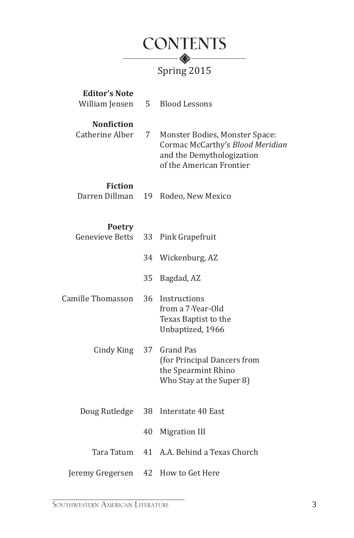

| <b>Editor's Note</b><br>William Jensen | 5  | <b>Blood Lessons</b>                                                                                                        |
|----------------------------------------|----|-----------------------------------------------------------------------------------------------------------------------------|
| <b>Nonfiction</b><br>Catherine Alber   | 7  | Monster Bodies, Monster Space:<br>Cormac McCarthy's Blood Meridian<br>and the Demythologization<br>of the American Frontier |
| <b>Fiction</b><br>Darren Dillman       | 19 | Rodeo, New Mexico                                                                                                           |
| <b>Poetry</b><br>Genevieve Betts       | 33 | Pink Grapefruit                                                                                                             |
|                                        | 34 | Wickenburg, AZ                                                                                                              |
|                                        | 35 | Bagdad, AZ                                                                                                                  |
| Camille Thomasson                      | 36 | Instructions<br>from a 7-Year-Old<br>Texas Baptist to the<br>Unbaptized, 1966                                               |
| Cindy King                             | 37 | <b>Grand Pas</b><br>(for Principal Dancers from<br>the Spearmint Rhino<br>Who Stay at the Super 8)                          |
| Doug Rutledge                          | 38 | Interstate 40 East                                                                                                          |
|                                        | 40 | <b>Migration III</b>                                                                                                        |
| Tara Tatum                             | 41 | A.A. Behind a Texas Church                                                                                                  |
| Jeremy Gregersen                       | 42 | How to Get Here                                                                                                             |